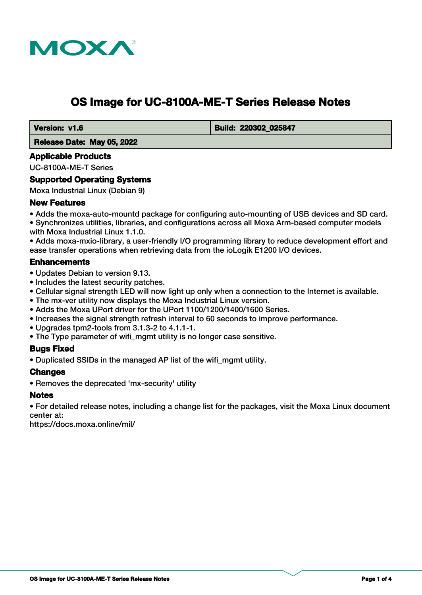

# **OS Image for UC-8100A-ME-T Series Release Notes**

 **Version: v1.6 Build: 220302 025847** 

 **Release Date: May 05, 2022**

# **Applicable Products**

UC-8100A-ME-T Series

# **Supported Operating Systems**

Moxa Industrial Linux (Debian 9)

# **New Features**

• Adds the moxa-auto-mountd package for configuring auto-mounting of USB devices and SD card. • Synchronizes utilities, libraries, and configurations across all Moxa Arm-based computer models with Moxa Industrial Linux 1.1.0.

• Adds moxa-mxio-library, a user-friendly I/O programming library to reduce development effort and ease transfer operations when retrieving data from the ioLogik E1200 I/O devices.

# **Enhancements**

- Updates Debian to version 9.13.
- Includes the latest security patches.
- Cellular signal strength LED will now light up only when a connection to the Internet is available.
- The mx-ver utility now displays the Moxa Industrial Linux version.
- Adds the Moxa UPort driver for the UPort 1100/1200/1400/1600 Series.
- Increases the signal strength refresh interval to 60 seconds to improve performance.
- Upgrades tpm2-tools from 3.1.3-2 to 4.1.1-1.
- The Type parameter of wifi mgmt utility is no longer case sensitive.

### **Bugs Fixed**

• Duplicated SSIDs in the managed AP list of the wifi\_mgmt utility.

### **Changes**

• Removes the deprecated 'mx-security' utility

### **Notes**

• For detailed release notes, including a change list for the packages, visit the Moxa Linux document center at:

https://docs.moxa.online/mil/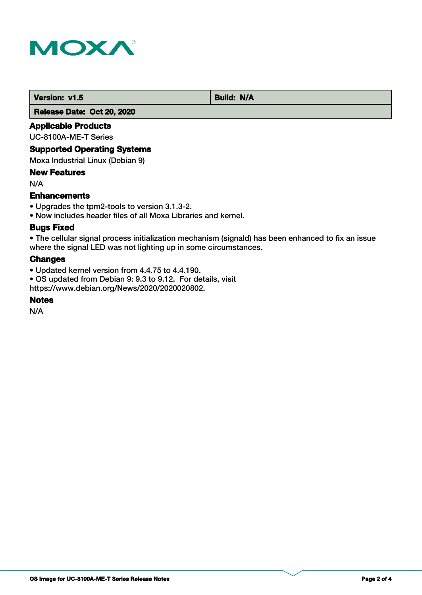

**Version: v1.5** Build: N/A

 **Release Date: Oct 20, 2020**

# **Applicable Products**

UC-8100A-ME-T Series

### **Supported Operating Systems**

Moxa Industrial Linux (Debian 9)

# **New Features**

N/A

# **Enhancements**

- Upgrades the tpm2-tools to version 3.1.3-2.
- Now includes header files of all Moxa Libraries and kernel.

# **Bugs Fixed**

• The cellular signal process initialization mechanism (signald) has been enhanced to fix an issue where the signal LED was not lighting up in some circumstances.

# **Changes**

- Updated kernel version from 4.4.75 to 4.4.190.
- OS updated from Debian 9: 9.3 to 9.12. For details, visit https://www.debian.org/News/2020/2020020802.

# **Notes**

N/A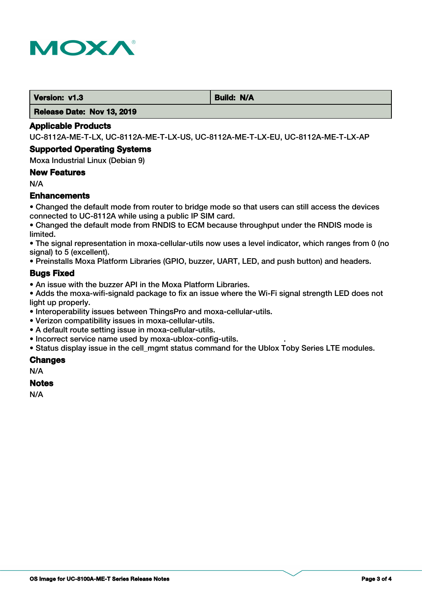

**Version: v1.3 Build: N/A** 

 **Release Date: Nov 13, 2019**

#### **Applicable Products**

UC-8112A-ME-T-LX, UC-8112A-ME-T-LX-US, UC-8112A-ME-T-LX-EU, UC-8112A-ME-T-LX-AP

#### **Supported Operating Systems**

Moxa Industrial Linux (Debian 9)

### **New Features**

N/A

# **Enhancements**

• Changed the default mode from router to bridge mode so that users can still access the devices connected to UC-8112A while using a public IP SIM card.

• Changed the default mode from RNDIS to ECM because throughput under the RNDIS mode is limited.

• The signal representation in moxa-cellular-utils now uses a level indicator, which ranges from 0 (no signal) to 5 (excellent).

• Preinstalls Moxa Platform Libraries (GPIO, buzzer, UART, LED, and push button) and headers.

### **Bugs Fixed**

• An issue with the buzzer API in the Moxa Platform Libraries.

• Adds the moxa-wifi-signald package to fix an issue where the Wi-Fi signal strength LED does not light up properly.

- Interoperability issues between ThingsPro and moxa-cellular-utils.
- Verizon compatibility issues in moxa-cellular-utils.
- A default route setting issue in moxa-cellular-utils.
- Incorrect service name used by moxa-ublox-config-utils. .

• Status display issue in the cell\_mgmt status command for the Ublox Toby Series LTE modules.

### **Changes**

N/A

#### **Notes**

N/A